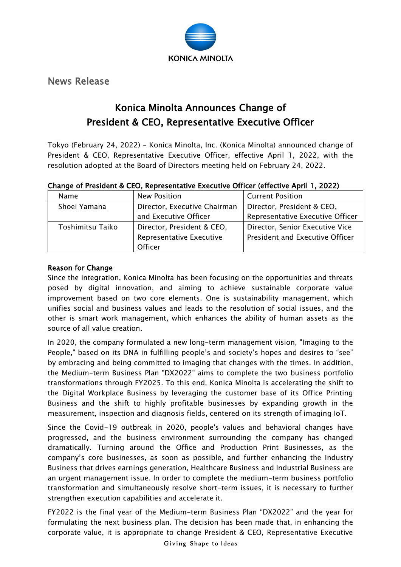

News Release

# Konica Minolta Announces Change of President & CEO, Representative Executive Officer

Tokyo (February 24, 2022) – Konica Minolta, Inc. (Konica Minolta) announced change of President & CEO, Representative Executive Officer, effective April 1, 2022, with the resolution adopted at the Board of Directors meeting held on February 24, 2022.

| Change of President & CEO, Representative Executive Officer (effective April 1, 2022) |  |  |  |  |
|---------------------------------------------------------------------------------------|--|--|--|--|
|                                                                                       |  |  |  |  |

| Name             | <b>New Position</b>          | <b>Current Position</b>          |  |  |
|------------------|------------------------------|----------------------------------|--|--|
| Shoei Yamana     | Director, Executive Chairman | Director, President & CEO,       |  |  |
|                  | and Executive Officer        | Representative Executive Officer |  |  |
| Toshimitsu Taiko | Director, President & CEO,   | Director, Senior Executive Vice  |  |  |
|                  | Representative Executive     | President and Executive Officer  |  |  |
|                  | Officer                      |                                  |  |  |

## Reason for Change

Since the integration, Konica Minolta has been focusing on the opportunities and threats posed by digital innovation, and aiming to achieve sustainable corporate value improvement based on two core elements. One is sustainability management, which unifies social and business values and leads to the resolution of social issues, and the other is smart work management, which enhances the ability of human assets as the source of all value creation.

In 2020, the company formulated a new long-term management vision, "Imaging to the People," based on its DNA in fulfilling people's and society's hopes and desires to "see" by embracing and being committed to imaging that changes with the times. In addition, the Medium-term Business Plan "DX2022" aims to complete the two business portfolio transformations through FY2025. To this end, Konica Minolta is accelerating the shift to the Digital Workplace Business by leveraging the customer base of its Office Printing Business and the shift to highly profitable businesses by expanding growth in the measurement, inspection and diagnosis fields, centered on its strength of imaging IoT.

Since the Covid-19 outbreak in 2020, people's values and behavioral changes have progressed, and the business environment surrounding the company has changed dramatically. Turning around the Office and Production Print Businesses, as the company's core businesses, as soon as possible, and further enhancing the Industry Business that drives earnings generation, Healthcare Business and Industrial Business are an urgent management issue. In order to complete the medium-term business portfolio transformation and simultaneously resolve short-term issues, it is necessary to further strengthen execution capabilities and accelerate it.

FY2022 is the final year of the Medium-term Business Plan "DX2022" and the year for formulating the next business plan. The decision has been made that, in enhancing the corporate value, it is appropriate to change President & CEO, Representative Executive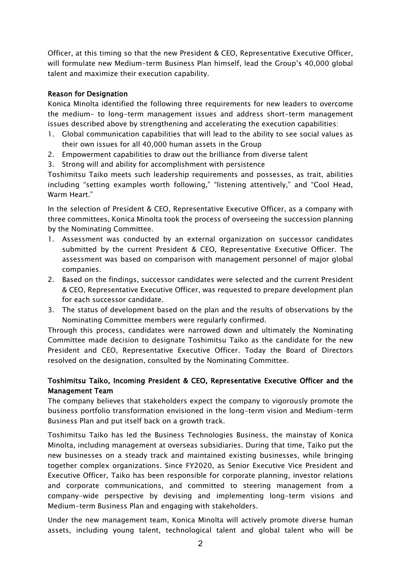Officer, at this timing so that the new President & CEO, Representative Executive Officer, will formulate new Medium-term Business Plan himself, lead the Group's 40,000 global talent and maximize their execution capability.

#### Reason for Designation

Konica Minolta identified the following three requirements for new leaders to overcome the medium- to long-term management issues and address short-term management issues described above by strengthening and accelerating the execution capabilities:

- 1. Global communication capabilities that will lead to the ability to see social values as their own issues for all 40,000 human assets in the Group
- 2. Empowerment capabilities to draw out the brilliance from diverse talent
- 3. Strong will and ability for accomplishment with persistence

Toshimitsu Taiko meets such leadership requirements and possesses, as trait, abilities including "setting examples worth following," "listening attentively," and "Cool Head, Warm Heart."

In the selection of President & CEO, Representative Executive Officer, as a company with three committees, Konica Minolta took the process of overseeing the succession planning by the Nominating Committee.

- 1. Assessment was conducted by an external organization on successor candidates submitted by the current President & CEO, Representative Executive Officer. The assessment was based on comparison with management personnel of major global companies.
- 2. Based on the findings, successor candidates were selected and the current President & CEO, Representative Executive Officer, was requested to prepare development plan for each successor candidate.
- 3. The status of development based on the plan and the results of observations by the Nominating Committee members were regularly confirmed.

Through this process, candidates were narrowed down and ultimately the Nominating Committee made decision to designate Toshimitsu Taiko as the candidate for the new President and CEO, Representative Executive Officer. Today the Board of Directors resolved on the designation, consulted by the Nominating Committee.

## Toshimitsu Taiko, Incoming President & CEO, Representative Executive Officer and the Management Team

The company believes that stakeholders expect the company to vigorously promote the business portfolio transformation envisioned in the long-term vision and Medium-term Business Plan and put itself back on a growth track.

Toshimitsu Taiko has led the Business Technologies Business, the mainstay of Konica Minolta, including management at overseas subsidiaries. During that time, Taiko put the new businesses on a steady track and maintained existing businesses, while bringing together complex organizations. Since FY2020, as Senior Executive Vice President and Executive Officer, Taiko has been responsible for corporate planning, investor relations and corporate communications, and committed to steering management from a company-wide perspective by devising and implementing long-term visions and Medium-term Business Plan and engaging with stakeholders.

Under the new management team, Konica Minolta will actively promote diverse human assets, including young talent, technological talent and global talent who will be